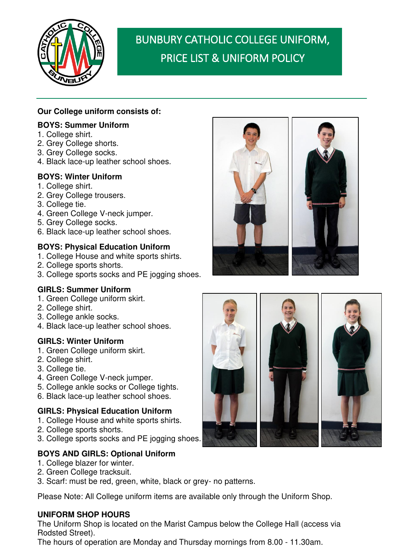

# BUNBURY CATHOLIC COLLEGE UNIFORM, PRICE LIST & UNIFORM POLICY

# **Our College uniform consists of:**

## **BOYS: Summer Uniform**

- 1. College shirt.
- 2. Grey College shorts.
- 3. Grey College socks.
- 4. Black lace-up leather school shoes.

# **BOYS: Winter Uniform**

- 1. College shirt.
- 2. Grey College trousers.
- 3. College tie.
- 4. Green College V-neck jumper.
- 5. Grey College socks.
- 6. Black lace-up leather school shoes.

# **BOYS: Physical Education Uniform**

- 1. College House and white sports shirts.
- 2. College sports shorts.
- 3. College sports socks and PE jogging shoes.

## **GIRLS: Summer Uniform**

- 1. Green College uniform skirt.
- 2. College shirt.
- 3. College ankle socks.
- 4. Black lace-up leather school shoes.

# **GIRLS: Winter Uniform**

- 1. Green College uniform skirt.
- 2. College shirt.
- 3. College tie.
- 4. Green College V-neck jumper.
- 5. College ankle socks or College tights.
- 6. Black lace-up leather school shoes.

## **GIRLS: Physical Education Uniform**

- 1. College House and white sports shirts.
- 2. College sports shorts.
- 3. College sports socks and PE jogging shoes.

# **BOYS AND GIRLS: Optional Uniform**

- 1. College blazer for winter.
- 2. Green College tracksuit.
- 3. Scarf: must be red, green, white, black or grey- no patterns.

Please Note: All College uniform items are available only through the Uniform Shop.

# **UNIFORM SHOP HOURS**

The Uniform Shop is located on the Marist Campus below the College Hall (access via Rodsted Street).

The hours of operation are Monday and Thursday mornings from 8.00 - 11.30am.



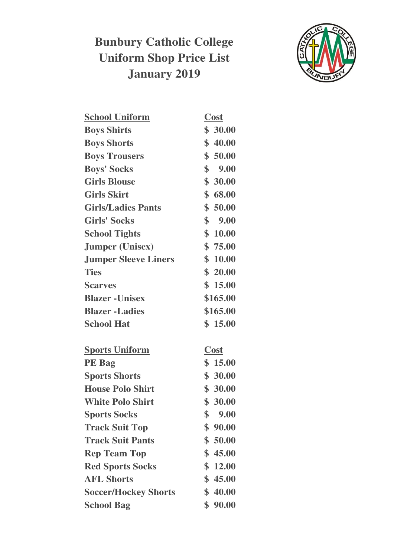**Bunbury Catholic College Uniform Shop Price List January 2019** 



| <b>School Uniform</b>       | <b>Cost</b>           |
|-----------------------------|-----------------------|
| <b>Boys Shirts</b>          | \$30.00               |
| <b>Boys Shorts</b>          | \$40.00               |
| <b>Boys Trousers</b>        | \$50.00               |
| <b>Boys' Socks</b>          | $\mathbf{\$}$<br>9.00 |
| <b>Girls Blouse</b>         | \$30.00               |
| <b>Girls Skirt</b>          | \$68.00               |
| <b>Girls/Ladies Pants</b>   | \$50.00               |
| <b>Girls' Socks</b>         | \$9.00                |
| <b>School Tights</b>        | \$10.00               |
| <b>Jumper (Unisex)</b>      | \$75.00               |
| <b>Jumper Sleeve Liners</b> | \$10.00               |
| <b>Ties</b>                 | \$20.00               |
| <b>Scarves</b>              | \$15.00               |
| <b>Blazer - Unisex</b>      | \$165.00              |
| <b>Blazer -Ladies</b>       | \$165.00              |
| <b>School Hat</b>           | \$15.00               |
| <u>Sports Uniform</u>       | <b>Cost</b>           |
| <b>PE</b> Bag               | \$15.00               |
| <b>Sports Shorts</b>        | \$30.00               |
| <b>House Polo Shirt</b>     | \$30.00               |
| <b>White Polo Shirt</b>     | \$30.00               |
| <b>Sports Socks</b>         | \$<br>9.00            |
| <b>Track Suit Top</b>       | \$90.00               |
| <b>Track Suit Pants</b>     | \$50.00               |
| <b>Rep Team Top</b>         | \$45.00               |
| <b>Red Sports Socks</b>     | \$12.00               |
| <b>AFL Shorts</b>           | \$45.00               |
| <b>Soccer/Hockey Shorts</b> | \$40.00               |
| <b>School Bag</b>           | \$90.00               |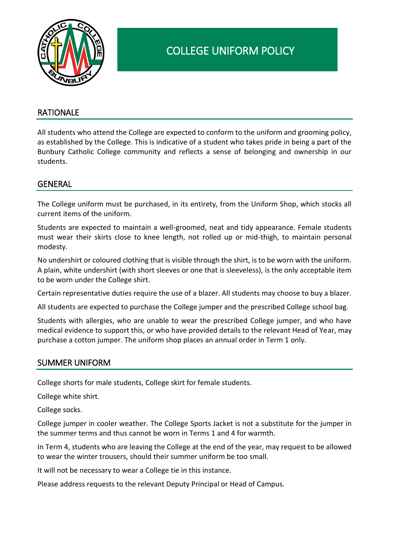

# RATIONALE

All students who attend the College are expected to conform to the uniform and grooming policy, as established by the College. This is indicative of a student who takes pride in being a part of the Bunbury Catholic College community and reflects a sense of belonging and ownership in our students.

## **GENERAL**

The College uniform must be purchased, in its entirety, from the Uniform Shop, which stocks all current items of the uniform.

Students are expected to maintain a well-groomed, neat and tidy appearance. Female students must wear their skirts close to knee length, not rolled up or mid-thigh, to maintain personal modesty.

No undershirt or coloured clothing that is visible through the shirt, is to be worn with the uniform. A plain, white undershirt (with short sleeves or one that is sleeveless), is the only acceptable item to be worn under the College shirt.

Certain representative duties require the use of a blazer. All students may choose to buy a blazer.

All students are expected to purchase the College jumper and the prescribed College school bag.

Students with allergies, who are unable to wear the prescribed College jumper, and who have medical evidence to support this, or who have provided details to the relevant Head of Year, may purchase a cotton jumper. The uniform shop places an annual order in Term 1 only.

## SUMMER UNIFORM

College shorts for male students, College skirt for female students.

College white shirt.

College socks.

College jumper in cooler weather. The College Sports Jacket is not a substitute for the jumper in the summer terms and thus cannot be worn in Terms 1 and 4 for warmth.

In Term 4, students who are leaving the College at the end of the year, may request to be allowed to wear the winter trousers, should their summer uniform be too small.

It will not be necessary to wear a College tie in this instance.

Please address requests to the relevant Deputy Principal or Head of Campus.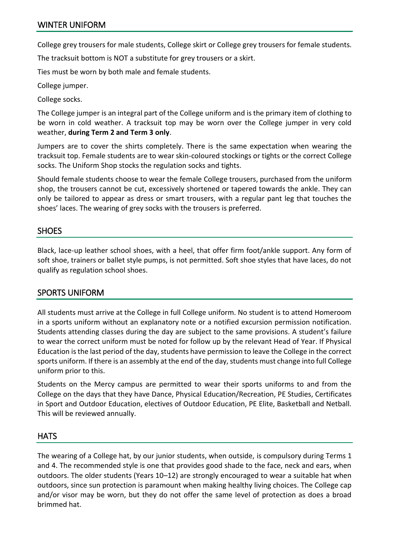College grey trousers for male students, College skirt or College grey trousers for female students.

The tracksuit bottom is NOT a substitute for grey trousers or a skirt.

Ties must be worn by both male and female students.

College jumper.

College socks.

The College jumper is an integral part of the College uniform and is the primary item of clothing to be worn in cold weather. A tracksuit top may be worn over the College jumper in very cold weather, **during Term 2 and Term 3 only**.

Jumpers are to cover the shirts completely. There is the same expectation when wearing the tracksuit top. Female students are to wear skin-coloured stockings or tights or the correct College socks. The Uniform Shop stocks the regulation socks and tights.

Should female students choose to wear the female College trousers, purchased from the uniform shop, the trousers cannot be cut, excessively shortened or tapered towards the ankle. They can only be tailored to appear as dress or smart trousers, with a regular pant leg that touches the shoes' laces. The wearing of grey socks with the trousers is preferred.

# **SHOES**

Black, lace-up leather school shoes, with a heel, that offer firm foot/ankle support. Any form of soft shoe, trainers or ballet style pumps, is not permitted. Soft shoe styles that have laces, do not qualify as regulation school shoes.

## SPORTS UNIFORM

All students must arrive at the College in full College uniform. No student is to attend Homeroom in a sports uniform without an explanatory note or a notified excursion permission notification. Students attending classes during the day are subject to the same provisions. A student's failure to wear the correct uniform must be noted for follow up by the relevant Head of Year. If Physical Education is the last period of the day, students have permission to leave the College in the correct sports uniform. If there is an assembly at the end of the day, students must change into full College uniform prior to this.

Students on the Mercy campus are permitted to wear their sports uniforms to and from the College on the days that they have Dance, Physical Education/Recreation, PE Studies, Certificates in Sport and Outdoor Education, electives of Outdoor Education, PE Elite, Basketball and Netball. This will be reviewed annually.

## **HATS**

The wearing of a College hat, by our junior students, when outside, is compulsory during Terms 1 and 4. The recommended style is one that provides good shade to the face, neck and ears, when outdoors. The older students (Years 10–12) are strongly encouraged to wear a suitable hat when outdoors, since sun protection is paramount when making healthy living choices. The College cap and/or visor may be worn, but they do not offer the same level of protection as does a broad brimmed hat.